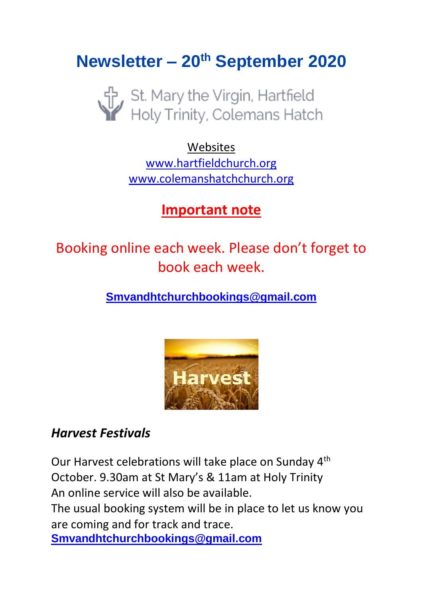# **Newsletter – 20th September 2020**



Websites [www.hartfieldchurch.org](http://www.hartfieldchurch.org/) [www.colemanshatchchurch.org](http://www.colemanshatchchurch.org/)

# **Important note**

Booking online each week. Please don't forget to book each week.

**[Smvandhtchurchbookings@gmail.com](mailto:Smvandhtchurchbookings@gmail.com)**



### *Harvest Festivals*

Our Harvest celebrations will take place on Sunday 4th October. 9.30am at St Mary's & 11am at Holy Trinity An online service will also be available.

The usual booking system will be in place to let us know you are coming and for track and trace.

**[Smvandhtchurchbookings@gmail.com](mailto:Smvandhtchurchbookings@gmail.com)**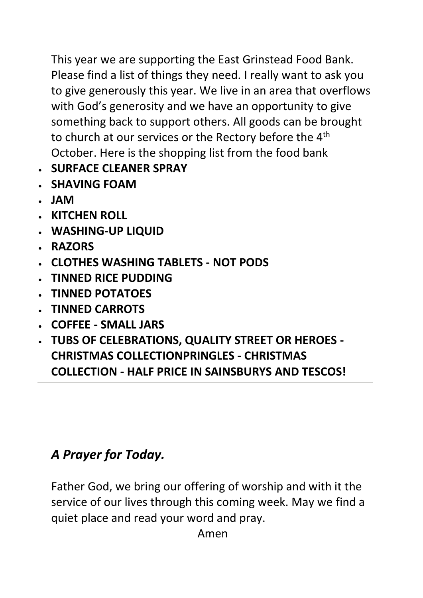This year we are supporting the East Grinstead Food Bank. Please find a list of things they need. I really want to ask you to give generously this year. We live in an area that overflows with God's generosity and we have an opportunity to give something back to support others. All goods can be brought to church at our services or the Rectory before the 4<sup>th</sup> October. Here is the shopping list from the food bank

- **SURFACE CLEANER SPRAY**
- **SHAVING FOAM**
- **JAM**
- **KITCHEN ROLL**
- **WASHING-UP LIQUID**
- **RAZORS**
- **CLOTHES WASHING TABLETS - NOT PODS**
- **TINNED RICE PUDDING**
- **TINNED POTATOES**
- **TINNED CARROTS**
- **COFFEE - SMALL JARS**
- **TUBS OF CELEBRATIONS, QUALITY STREET OR HEROES - CHRISTMAS COLLECTIONPRINGLES - CHRISTMAS COLLECTION - HALF PRICE IN SAINSBURYS AND TESCOS!**

# *A Prayer for Today.*

Father God, we bring our offering of worship and with it the service of our lives through this coming week. May we find a quiet place and read your word and pray.

Amen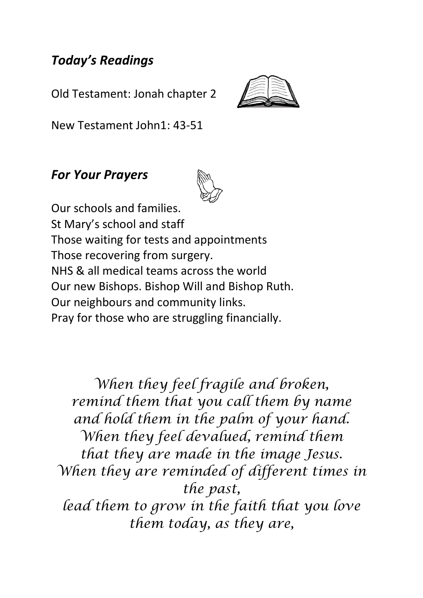### *Today's Readings*

Old Testament: Jonah chapter 2



New Testament John1: 43-51

#### *For Your Prayers*



Our schools and families. St Mary's school and staff Those waiting for tests and appointments Those recovering from surgery. NHS & all medical teams across the world Our new Bishops. Bishop Will and Bishop Ruth. Our neighbours and community links. Pray for those who are struggling financially.

*When they feel fragile and broken, remind them that you call them by name and hold them in the palm of your hand. When they feel devalued, remind them that they are made in the image Jesus. When they are reminded of different times in the past, lead them to grow in the faith that you love them today, as they are,*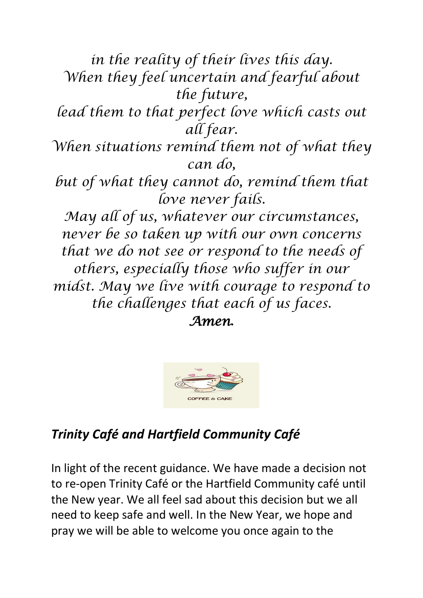*in the reality of their lives this day. When they feel uncertain and fearful about the future, lead them to that perfect love which casts out all fear. When situations remind them not of what they can do, but of what they cannot do, remind them that love never fails. May all of us, whatever our circumstances, never be so taken up with our own concerns that we do not see or respond to the needs of others, especially those who suffer in our midst. May we live with courage to respond to the challenges that each of us faces. Amen***.**



# *Trinity Café and Hartfield Community Café*

In light of the recent guidance. We have made a decision not to re-open Trinity Café or the Hartfield Community café until the New year. We all feel sad about this decision but we all need to keep safe and well. In the New Year, we hope and pray we will be able to welcome you once again to the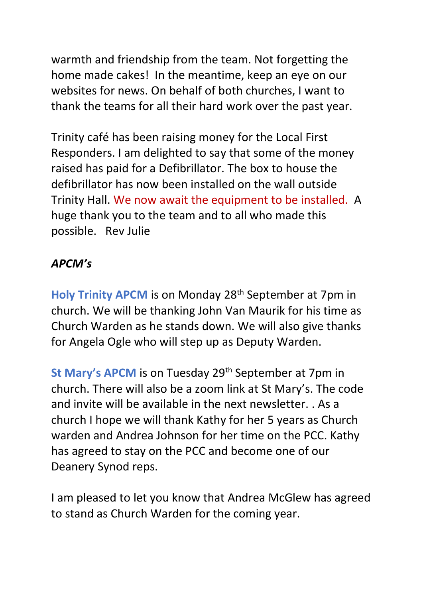warmth and friendship from the team. Not forgetting the home made cakes! In the meantime, keep an eye on our websites for news. On behalf of both churches, I want to thank the teams for all their hard work over the past year.

Trinity café has been raising money for the Local First Responders. I am delighted to say that some of the money raised has paid for a Defibrillator. The box to house the defibrillator has now been installed on the wall outside Trinity Hall. We now await the equipment to be installed. A huge thank you to the team and to all who made this possible. Rev Julie

#### *APCM's*

**Holy Trinity APCM** is on Monday 28<sup>th</sup> September at 7pm in church. We will be thanking John Van Maurik for his time as Church Warden as he stands down. We will also give thanks for Angela Ogle who will step up as Deputy Warden.

**St Mary's APCM** is on Tuesday 29<sup>th</sup> September at 7pm in church. There will also be a zoom link at St Mary's. The code and invite will be available in the next newsletter. . As a church I hope we will thank Kathy for her 5 years as Church warden and Andrea Johnson for her time on the PCC. Kathy has agreed to stay on the PCC and become one of our Deanery Synod reps.

I am pleased to let you know that Andrea McGlew has agreed to stand as Church Warden for the coming year.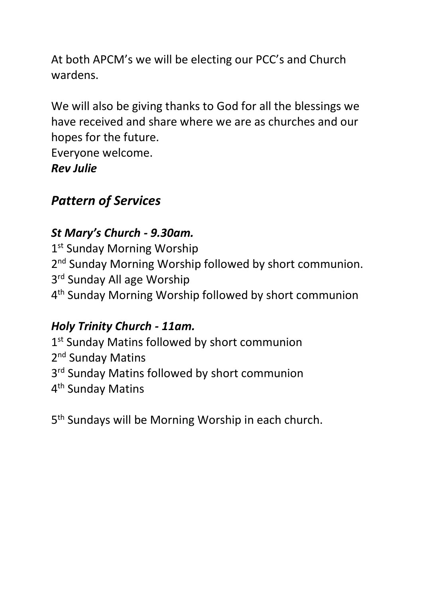At both APCM's we will be electing our PCC's and Church wardens.

We will also be giving thanks to God for all the blessings we have received and share where we are as churches and our hopes for the future.

Everyone welcome.

*Rev Julie*

# *Pattern of Services*

## *St Mary's Church - 9.30am.*

1<sup>st</sup> Sunday Morning Worship 2<sup>nd</sup> Sunday Morning Worship followed by short communion. 3<sup>rd</sup> Sunday All age Worship 4 th Sunday Morning Worship followed by short communion

# *Holy Trinity Church - 11am.*

1<sup>st</sup> Sunday Matins followed by short communion 2<sup>nd</sup> Sunday Matins 3<sup>rd</sup> Sunday Matins followed by short communion 4<sup>th</sup> Sunday Matins

5<sup>th</sup> Sundays will be Morning Worship in each church.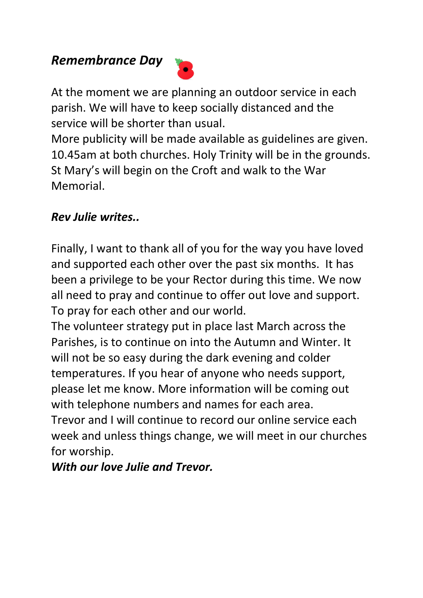### *Remembrance Day*



At the moment we are planning an outdoor service in each parish. We will have to keep socially distanced and the service will be shorter than usual.

More publicity will be made available as guidelines are given. 10.45am at both churches. Holy Trinity will be in the grounds. St Mary's will begin on the Croft and walk to the War Memorial.

#### *Rev Julie writes..*

Finally, I want to thank all of you for the way you have loved and supported each other over the past six months. It has been a privilege to be your Rector during this time. We now all need to pray and continue to offer out love and support. To pray for each other and our world.

The volunteer strategy put in place last March across the Parishes, is to continue on into the Autumn and Winter. It will not be so easy during the dark evening and colder temperatures. If you hear of anyone who needs support, please let me know. More information will be coming out with telephone numbers and names for each area.

Trevor and I will continue to record our online service each week and unless things change, we will meet in our churches for worship.

*With our love Julie and Trevor.*